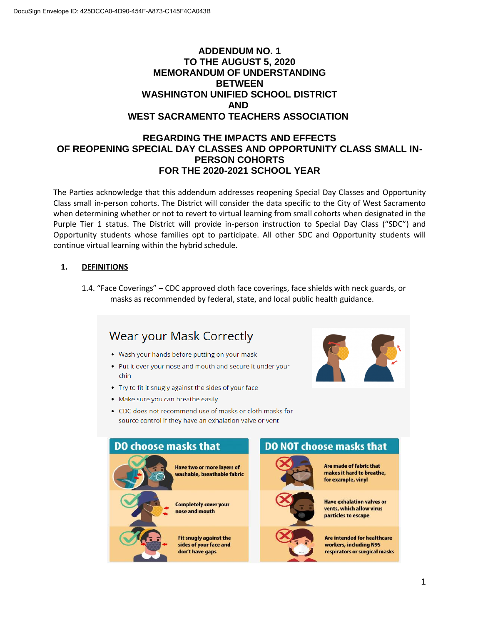# **ADDENDUM NO. 1 TO THE AUGUST 5, 2020 MEMORANDUM OF UNDERSTANDING BETWEEN WASHINGTON UNIFIED SCHOOL DISTRICT AND WEST SACRAMENTO TEACHERS ASSOCIATION**

## **REGARDING THE IMPACTS AND EFFECTS OF REOPENING SPECIAL DAY CLASSES AND OPPORTUNITY CLASS SMALL IN-PERSON COHORTS FOR THE 2020-2021 SCHOOL YEAR**

The Parties acknowledge that this addendum addresses reopening Special Day Classes and Opportunity Class small in-person cohorts. The District will consider the data specific to the City of West Sacramento when determining whether or not to revert to virtual learning from small cohorts when designated in the Purple Tier 1 status. The District will provide in-person instruction to Special Day Class ("SDC") and Opportunity students whose families opt to participate. All other SDC and Opportunity students will continue virtual learning within the hybrid schedule.

## **1. DEFINITIONS**

1.4. "Face Coverings" – CDC approved cloth face coverings, face shields with neck guards, or masks as recommended by federal, state, and local public health guidance.

### Wear your Mask Correctly . Wash your hands before putting on your mask . Put it over your nose and mouth and secure it under your chin • Try to fit it snugly against the sides of your face • Make sure you can breathe easily • CDC does not recommend use of masks or cloth masks for source control if they have an exhalation valve or vent **DO choose masks that DO NOT choose masks that** Are made of fabric that **Have two or more layers of** makes it hard to breathe, washable, breathable fabric for example, vinyl **Have exhalation valves or Completely cover your** vents, which allow virus nose and mouth particles to escape **Fit snugly against the Are intended for healthcare** sides of your face and workers, including N95 don't have gaps respirators or surgical masks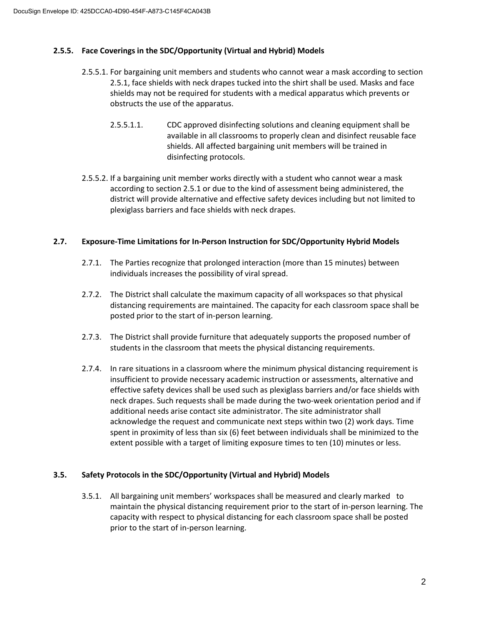## **2.5.5. Face Coverings in the SDC/Opportunity (Virtual and Hybrid) Models**

- 2.5.5.1. For bargaining unit members and students who cannot wear a mask according to section 2.5.1, face shields with neck drapes tucked into the shirt shall be used. Masks and face shields may not be required for students with a medical apparatus which prevents or obstructs the use of the apparatus.
	- 2.5.5.1.1. CDC approved disinfecting solutions and cleaning equipment shall be available in all classrooms to properly clean and disinfect reusable face shields. All affected bargaining unit members will be trained in disinfecting protocols.
- 2.5.5.2. If a bargaining unit member works directly with a student who cannot wear a mask according to section 2.5.1 or due to the kind of assessment being administered, the district will provide alternative and effective safety devices including but not limited to plexiglass barriers and face shields with neck drapes.

#### **2.7. Exposure-Time Limitations for In-Person Instruction for SDC/Opportunity Hybrid Models**

- 2.7.1. The Parties recognize that prolonged interaction (more than 15 minutes) between individuals increases the possibility of viral spread.
- 2.7.2. The District shall calculate the maximum capacity of all workspaces so that physical distancing requirements are maintained. The capacity for each classroom space shall be posted prior to the start of in-person learning.
- 2.7.3. The District shall provide furniture that adequately supports the proposed number of students in the classroom that meets the physical distancing requirements.
- 2.7.4. In rare situations in a classroom where the minimum physical distancing requirement is insufficient to provide necessary academic instruction or assessments, alternative and effective safety devices shall be used such as plexiglass barriers and/or face shields with neck drapes. Such requests shall be made during the two-week orientation period and if additional needs arise contact site administrator. The site administrator shall acknowledge the request and communicate next steps within two (2) work days. Time spent in proximity of less than six (6) feet between individuals shall be minimized to the extent possible with a target of limiting exposure times to ten (10) minutes or less.

## **3.5. Safety Protocols in the SDC/Opportunity (Virtual and Hybrid) Models**

3.5.1. All bargaining unit members' workspaces shall be measured and clearly marked to maintain the physical distancing requirement prior to the start of in-person learning. The capacity with respect to physical distancing for each classroom space shall be posted prior to the start of in-person learning.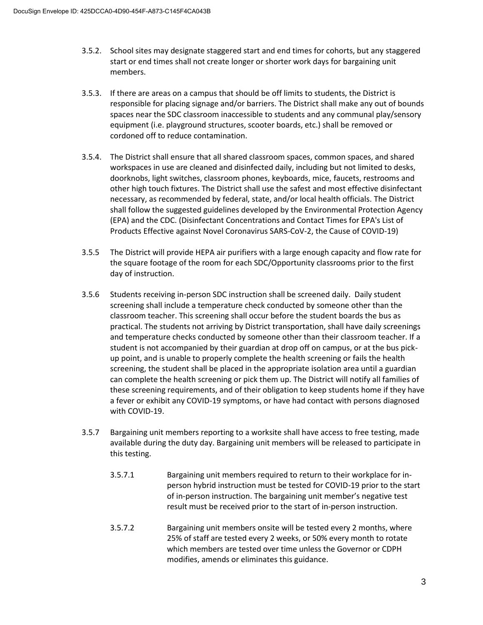- 3.5.2. School sites may designate staggered start and end times for cohorts, but any staggered start or end times shall not create longer or shorter work days for bargaining unit members.
- 3.5.3. If there are areas on a campus that should be off limits to students, the District is responsible for placing signage and/or barriers. The District shall make any out of bounds spaces near the SDC classroom inaccessible to students and any communal play/sensory equipment (i.e. playground structures, scooter boards, etc.) shall be removed or cordoned off to reduce contamination.
- 3.5.4. The District shall ensure that all shared classroom spaces, common spaces, and shared workspaces in use are cleaned and disinfected daily, including but not limited to desks, doorknobs, light switches, classroom phones, keyboards, mice, faucets, restrooms and other high touch fixtures. The District shall use the safest and most effective disinfectant necessary, as recommended by federal, state, and/or local health officials. The District shall follow the suggested guidelines developed by the Environmental Protection Agency (EPA) and the CDC. (Disinfectant Concentrations and Contact Times for EPA's List of Products Effective against Novel Coronavirus SARS-CoV-2, the Cause of COVID-19)
- 3.5.5 The District will provide HEPA air purifiers with a large enough capacity and flow rate for the square footage of the room for each SDC/Opportunity classrooms prior to the first day of instruction.
- 3.5.6 Students receiving in-person SDC instruction shall be screened daily. Daily student screening shall include a temperature check conducted by someone other than the classroom teacher. This screening shall occur before the student boards the bus as practical. The students not arriving by District transportation, shall have daily screenings and temperature checks conducted by someone other than their classroom teacher. If a student is not accompanied by their guardian at drop off on campus, or at the bus pickup point, and is unable to properly complete the health screening or fails the health screening, the student shall be placed in the appropriate isolation area until a guardian can complete the health screening or pick them up. The District will notify all families of these screening requirements, and of their obligation to keep students home if they have a fever or exhibit any COVID-19 symptoms, or have had contact with persons diagnosed with COVID-19.
- 3.5.7 Bargaining unit members reporting to a worksite shall have access to free testing, made available during the duty day. Bargaining unit members will be released to participate in this testing.
	- 3.5.7.1 Bargaining unit members required to return to their workplace for inperson hybrid instruction must be tested for COVID-19 prior to the start of in-person instruction. The bargaining unit member's negative test result must be received prior to the start of in-person instruction.
	- 3.5.7.2 Bargaining unit members onsite will be tested every 2 months, where 25% of staff are tested every 2 weeks, or 50% every month to rotate which members are tested over time unless the Governor or CDPH modifies, amends or eliminates this guidance.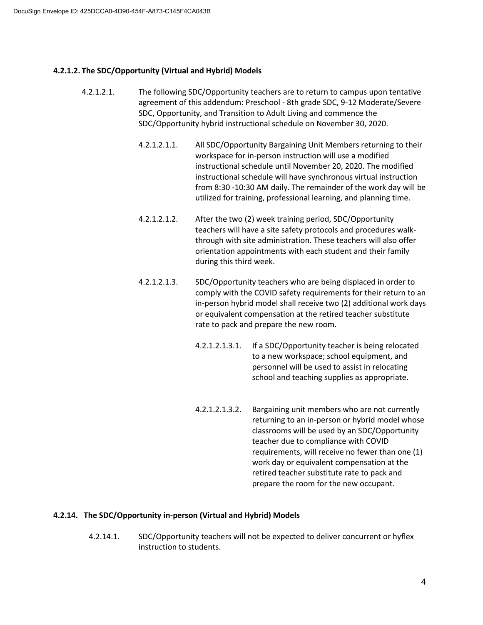## **4.2.1.2. The SDC/Opportunity (Virtual and Hybrid) Models**

- 4.2.1.2.1. The following SDC/Opportunity teachers are to return to campus upon tentative agreement of this addendum: Preschool - 8th grade SDC, 9-12 Moderate/Severe SDC, Opportunity, and Transition to Adult Living and commence the SDC/Opportunity hybrid instructional schedule on November 30, 2020.
	- 4.2.1.2.1.1. All SDC/Opportunity Bargaining Unit Members returning to their workspace for in-person instruction will use a modified instructional schedule until November 20, 2020. The modified instructional schedule will have synchronous virtual instruction from 8:30 -10:30 AM daily. The remainder of the work day will be utilized for training, professional learning, and planning time.
	- 4.2.1.2.1.2. After the two (2) week training period, SDC/Opportunity teachers will have a site safety protocols and procedures walkthrough with site administration. These teachers will also offer orientation appointments with each student and their family during this third week.
	- 4.2.1.2.1.3. SDC/Opportunity teachers who are being displaced in order to comply with the COVID safety requirements for their return to an in-person hybrid model shall receive two (2) additional work days or equivalent compensation at the retired teacher substitute rate to pack and prepare the new room.
		- 4.2.1.2.1.3.1. If a SDC/Opportunity teacher is being relocated to a new workspace; school equipment, and personnel will be used to assist in relocating school and teaching supplies as appropriate.
		- 4.2.1.2.1.3.2. Bargaining unit members who are not currently returning to an in-person or hybrid model whose classrooms will be used by an SDC/Opportunity teacher due to compliance with COVID requirements, will receive no fewer than one (1) work day or equivalent compensation at the retired teacher substitute rate to pack and prepare the room for the new occupant.

## **4.2.14. The SDC/Opportunity in-person (Virtual and Hybrid) Models**

4.2.14.1. SDC/Opportunity teachers will not be expected to deliver concurrent or hyflex instruction to students.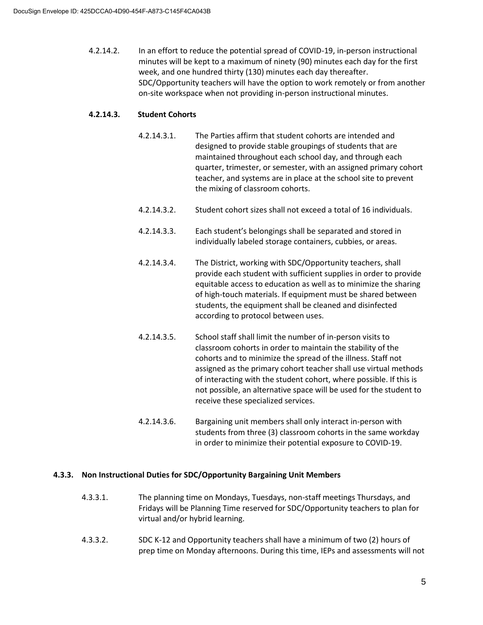4.2.14.2. In an effort to reduce the potential spread of COVID-19, in-person instructional minutes will be kept to a maximum of ninety (90) minutes each day for the first week, and one hundred thirty (130) minutes each day thereafter. SDC/Opportunity teachers will have the option to work remotely or from another on-site workspace when not providing in-person instructional minutes.

## **4.2.14.3. Student Cohorts**

- 4.2.14.3.1. The Parties affirm that student cohorts are intended and designed to provide stable groupings of students that are maintained throughout each school day, and through each quarter, trimester, or semester, with an assigned primary cohort teacher, and systems are in place at the school site to prevent the mixing of classroom cohorts.
- 4.2.14.3.2. Student cohort sizes shall not exceed a total of 16 individuals.
- 4.2.14.3.3. Each student's belongings shall be separated and stored in individually labeled storage containers, cubbies, or areas.
- 4.2.14.3.4. The District, working with SDC/Opportunity teachers, shall provide each student with sufficient supplies in order to provide equitable access to education as well as to minimize the sharing of high-touch materials. If equipment must be shared between students, the equipment shall be cleaned and disinfected according to protocol between uses.
- 4.2.14.3.5. School staff shall limit the number of in-person visits to classroom cohorts in order to maintain the stability of the cohorts and to minimize the spread of the illness. Staff not assigned as the primary cohort teacher shall use virtual methods of interacting with the student cohort, where possible. If this is not possible, an alternative space will be used for the student to receive these specialized services.
- 4.2.14.3.6. Bargaining unit members shall only interact in-person with students from three (3) classroom cohorts in the same workday in order to minimize their potential exposure to COVID-19.

## **4.3.3. Non Instructional Duties for SDC/Opportunity Bargaining Unit Members**

- 4.3.3.1. The planning time on Mondays, Tuesdays, non-staff meetings Thursdays, and Fridays will be Planning Time reserved for SDC/Opportunity teachers to plan for virtual and/or hybrid learning.
- 4.3.3.2. SDC K-12 and Opportunity teachers shall have a minimum of two (2) hours of prep time on Monday afternoons. During this time, IEPs and assessments will not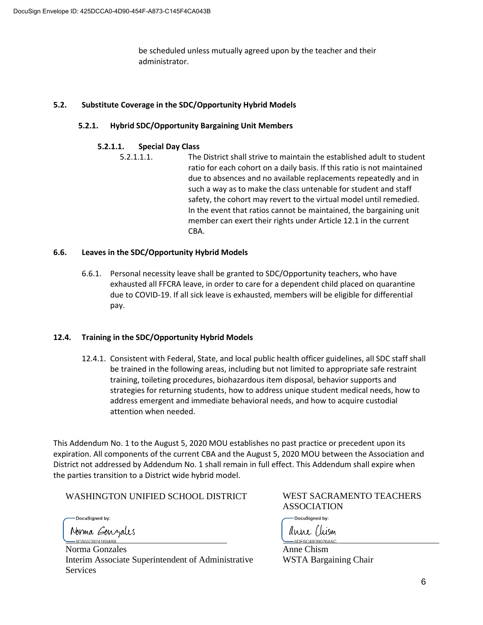be scheduled unless mutually agreed upon by the teacher and their administrator.

### **5.2. Substitute Coverage in the SDC/Opportunity Hybrid Models**

### **5.2.1. Hybrid SDC/Opportunity Bargaining Unit Members**

#### **5.2.1.1. Special Day Class**

5.2.1.1.1. The District shall strive to maintain the established adult to student ratio for each cohort on a daily basis. If this ratio is not maintained due to absences and no available replacements repeatedly and in such a way as to make the class untenable for student and staff safety, the cohort may revert to the virtual model until remedied. In the event that ratios cannot be maintained, the bargaining unit member can exert their rights under Article 12.1 in the current CBA.

#### **6.6. Leaves in the SDC/Opportunity Hybrid Models**

6.6.1. Personal necessity leave shall be granted to SDC/Opportunity teachers, who have exhausted all FFCRA leave, in order to care for a dependent child placed on quarantine due to COVID-19. If all sick leave is exhausted, members will be eligible for differential pay.

#### **12.4. Training in the SDC/Opportunity Hybrid Models**

12.4.1. Consistent with Federal, State, and local public health officer guidelines, all SDC staff shall be trained in the following areas, including but not limited to appropriate safe restraint training, toileting procedures, biohazardous item disposal, behavior supports and strategies for returning students, how to address unique student medical needs, how to address emergent and immediate behavioral needs, and how to acquire custodial attention when needed.

This Addendum No. 1 to the August 5, 2020 MOU establishes no past practice or precedent upon its expiration. All components of the current CBA and the August 5, 2020 MOU between the Association and District not addressed by Addendum No. 1 shall remain in full effect. This Addendum shall expire when the parties transition to a District wide hybrid model.

WASHINGTON UNIFIED SCHOOL DISTRICT

DocuSigned by:

Norma Gonzales 9D955D9241604B8

Norma Gonzales Interim Associate Superintendent of Administrative **Services** 

WEST SACRAMENTO TEACHERS ASSOCIATION

-DocuSigned by: dune (tusm 6DE6C49D90264

Anne Chism WSTA Bargaining Chair